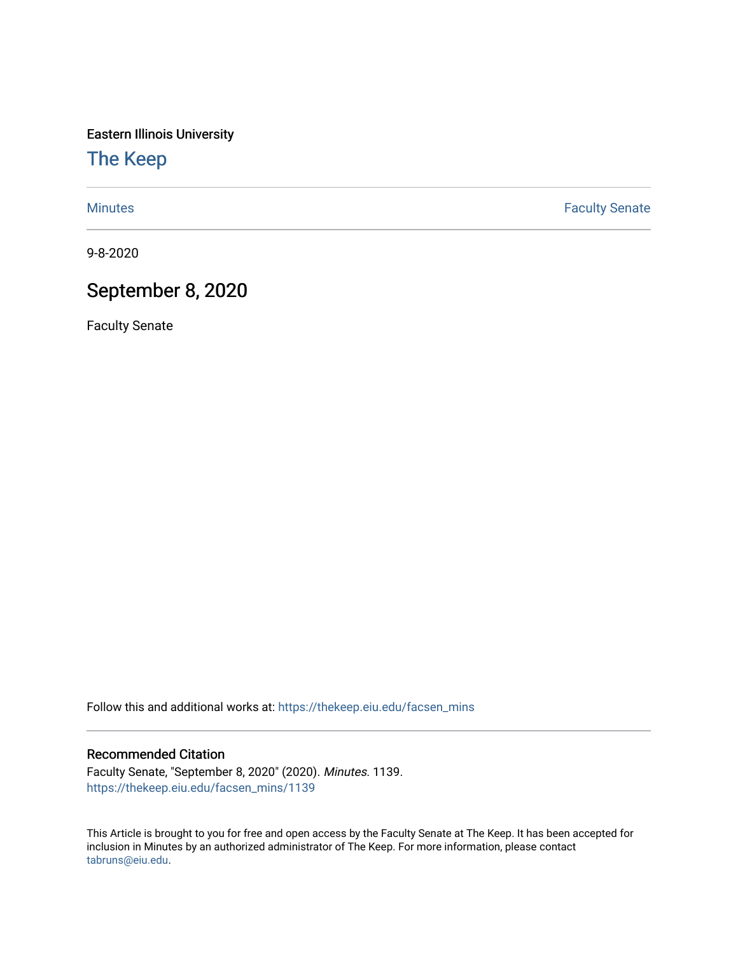Eastern Illinois University

[The Keep](https://thekeep.eiu.edu/) 

[Minutes](https://thekeep.eiu.edu/facsen_mins) **Faculty Senate** 

9-8-2020

# September 8, 2020

Faculty Senate

Follow this and additional works at: [https://thekeep.eiu.edu/facsen\\_mins](https://thekeep.eiu.edu/facsen_mins?utm_source=thekeep.eiu.edu%2Ffacsen_mins%2F1139&utm_medium=PDF&utm_campaign=PDFCoverPages) 

#### Recommended Citation

Faculty Senate, "September 8, 2020" (2020). Minutes. 1139. [https://thekeep.eiu.edu/facsen\\_mins/1139](https://thekeep.eiu.edu/facsen_mins/1139?utm_source=thekeep.eiu.edu%2Ffacsen_mins%2F1139&utm_medium=PDF&utm_campaign=PDFCoverPages) 

This Article is brought to you for free and open access by the Faculty Senate at The Keep. It has been accepted for inclusion in Minutes by an authorized administrator of The Keep. For more information, please contact [tabruns@eiu.edu.](mailto:tabruns@eiu.edu)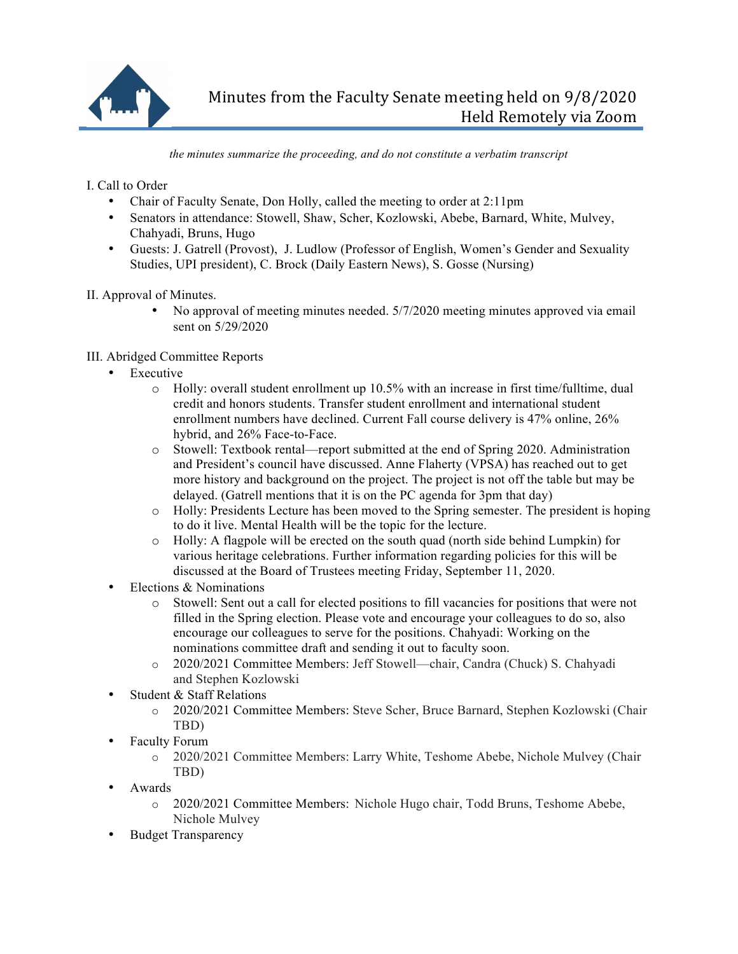

*the minutes summarize the proceeding, and do not constitute a verbatim transcript*

I. Call to Order

- Chair of Faculty Senate, Don Holly, called the meeting to order at 2:11pm
- Senators in attendance: Stowell, Shaw, Scher, Kozlowski, Abebe, Barnard, White, Mulvey, Chahyadi, Bruns, Hugo
- Guests: J. Gatrell (Provost), J. Ludlow (Professor of English, Women's Gender and Sexuality Studies, UPI president), C. Brock (Daily Eastern News), S. Gosse (Nursing)

II. Approval of Minutes.

• No approval of meeting minutes needed.  $5/7/2020$  meeting minutes approved via email sent on 5/29/2020

# III. Abridged Committee Reports

- Executive
	- o Holly: overall student enrollment up 10.5% with an increase in first time/fulltime, dual credit and honors students. Transfer student enrollment and international student enrollment numbers have declined. Current Fall course delivery is 47% online, 26% hybrid, and 26% Face-to-Face.
	- o Stowell: Textbook rental—report submitted at the end of Spring 2020. Administration and President's council have discussed. Anne Flaherty (VPSA) has reached out to get more history and background on the project. The project is not off the table but may be delayed. (Gatrell mentions that it is on the PC agenda for 3pm that day)
	- o Holly: Presidents Lecture has been moved to the Spring semester. The president is hoping to do it live. Mental Health will be the topic for the lecture.
	- o Holly: A flagpole will be erected on the south quad (north side behind Lumpkin) for various heritage celebrations. Further information regarding policies for this will be discussed at the Board of Trustees meeting Friday, September 11, 2020.
- Elections & Nominations<br>  $\circ$  Stowell: Sent out
	- Stowell: Sent out a call for elected positions to fill vacancies for positions that were not filled in the Spring election. Please vote and encourage your colleagues to do so, also encourage our colleagues to serve for the positions. Chahyadi: Working on the nominations committee draft and sending it out to faculty soon.
	- o 2020/2021 Committee Members: Jeff Stowell—chair, Candra (Chuck) S. Chahyadi and Stephen Kozlowski
- Student & Staff Relations
	- o 2020/2021 Committee Members: Steve Scher, Bruce Barnard, Stephen Kozlowski (Chair TBD)
- Faculty Forum
	- o 2020/2021 Committee Members: Larry White, Teshome Abebe, Nichole Mulvey (Chair TBD)
- Awards
	- o 2020/2021 Committee Members: Nichole Hugo chair, Todd Bruns, Teshome Abebe, Nichole Mulvey
- Budget Transparency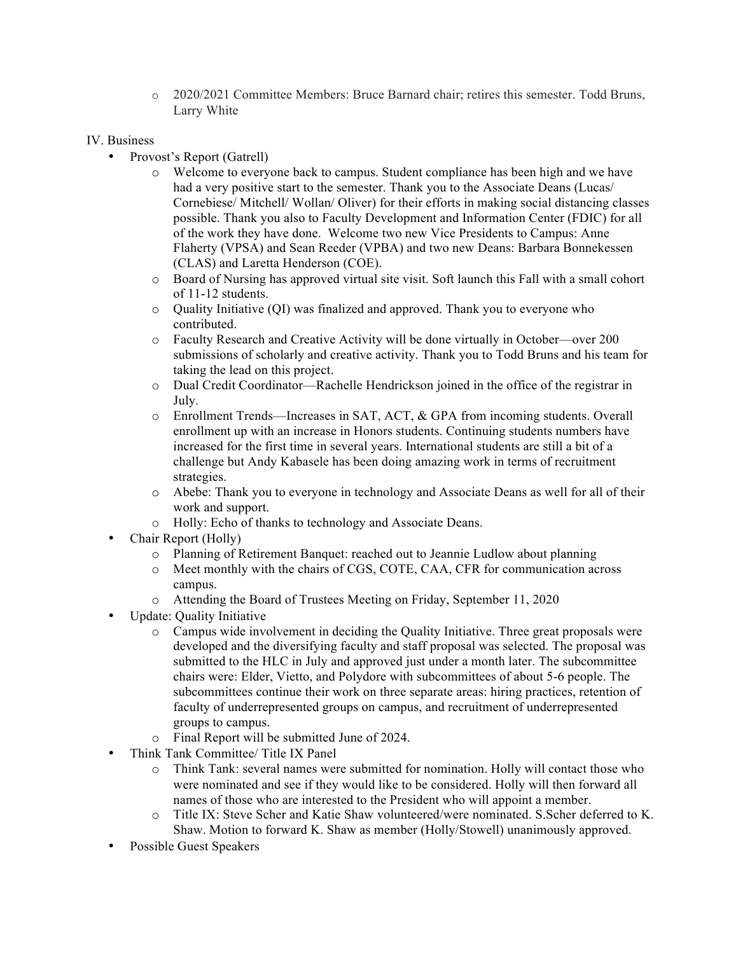o 2020/2021 Committee Members: Bruce Barnard chair; retires this semester. Todd Bruns, Larry White

## IV. Business

- Provost's Report (Gatrell)
	- o Welcome to everyone back to campus. Student compliance has been high and we have had a very positive start to the semester. Thank you to the Associate Deans (Lucas/ Cornebiese/ Mitchell/ Wollan/ Oliver) for their efforts in making social distancing classes possible. Thank you also to Faculty Development and Information Center (FDIC) for all of the work they have done. Welcome two new Vice Presidents to Campus: Anne Flaherty (VPSA) and Sean Reeder (VPBA) and two new Deans: Barbara Bonnekessen (CLAS) and Laretta Henderson (COE).
	- o Board of Nursing has approved virtual site visit. Soft launch this Fall with a small cohort of 11-12 students.
	- $\circ$  Quality Initiative (QI) was finalized and approved. Thank you to everyone who contributed.
	- o Faculty Research and Creative Activity will be done virtually in October—over 200 submissions of scholarly and creative activity. Thank you to Todd Bruns and his team for taking the lead on this project.
	- o Dual Credit Coordinator—Rachelle Hendrickson joined in the office of the registrar in July.
	- o Enrollment Trends—Increases in SAT, ACT, & GPA from incoming students. Overall enrollment up with an increase in Honors students. Continuing students numbers have increased for the first time in several years. International students are still a bit of a challenge but Andy Kabasele has been doing amazing work in terms of recruitment strategies.
	- o Abebe: Thank you to everyone in technology and Associate Deans as well for all of their work and support.
	- o Holly: Echo of thanks to technology and Associate Deans.
- Chair Report (Holly)
	- o Planning of Retirement Banquet: reached out to Jeannie Ludlow about planning
	- o Meet monthly with the chairs of CGS, COTE, CAA, CFR for communication across campus.
	- o Attending the Board of Trustees Meeting on Friday, September 11, 2020
- Update: Quality Initiative
	- o Campus wide involvement in deciding the Quality Initiative. Three great proposals were developed and the diversifying faculty and staff proposal was selected. The proposal was submitted to the HLC in July and approved just under a month later. The subcommittee chairs were: Elder, Vietto, and Polydore with subcommittees of about 5-6 people. The subcommittees continue their work on three separate areas: hiring practices, retention of faculty of underrepresented groups on campus, and recruitment of underrepresented groups to campus.
	- o Final Report will be submitted June of 2024.
- Think Tank Committee/ Title IX Panel
	- o Think Tank: several names were submitted for nomination. Holly will contact those who were nominated and see if they would like to be considered. Holly will then forward all names of those who are interested to the President who will appoint a member.
	- o Title IX: Steve Scher and Katie Shaw volunteered/were nominated. S.Scher deferred to K. Shaw. Motion to forward K. Shaw as member (Holly/Stowell) unanimously approved.
- Possible Guest Speakers